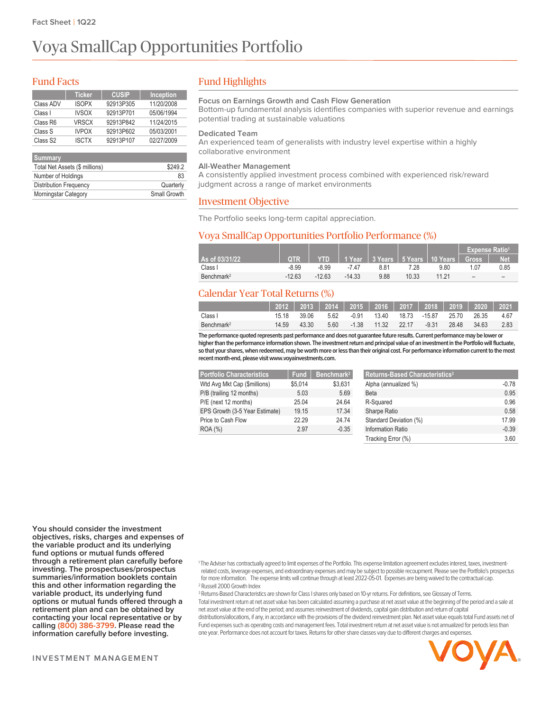# Voya SmallCap Opportunities Portfolio

## Fund Facts

|                      | <b>Ticker</b> | <b>CUSIP</b> | <b>Inception</b> |
|----------------------|---------------|--------------|------------------|
| Class ADV            | <b>ISOPX</b>  | 92913P305    | 11/20/2008       |
| Class I              | <b>IVSOX</b>  | 92913P701    | 05/06/1994       |
| Class R6             | <b>VRSCX</b>  | 92913P842    | 11/24/2015       |
| Class S              | <b>IVPOX</b>  | 92913P602    | 05/03/2001       |
| Class S <sub>2</sub> | <b>ISCTX</b>  | 92913P107    | 02/27/2009       |
|                      |               |              |                  |

| Summary                        |              |
|--------------------------------|--------------|
| Total Net Assets (\$ millions) | \$249.2      |
| Number of Holdings             | 83           |
| <b>Distribution Frequency</b>  | Quarterly    |
| <b>Morningstar Category</b>    | Small Growth |

# Fund Highlights

#### **Focus on Earnings Growth and Cash Flow Generation**

Bottom-up fundamental analysis identifies companies with superior revenue and earnings potential trading at sustainable valuations

#### **Dedicated Team**

An experienced team of generalists with industry level expertise within a highly collaborative environment

#### **All-Weather Management**

A consistently applied investment process combined with experienced risk/reward judgment across a range of market environments

#### Investment Objective

The Portfolio seeks long-term capital appreciation.

### Voya SmallCap Opportunities Portfolio Performance (%)

|                        |            |                |          |      |       |                                                    | <b>Expense Ratio<sup>1</sup></b> |            |
|------------------------|------------|----------------|----------|------|-------|----------------------------------------------------|----------------------------------|------------|
| As of 03/31/22         | <b>OTR</b> | $\blacksquare$ |          |      |       | │ 1 Year │ 3 Years │ 5 Years │ 10 Years │  Gross │ |                                  | <b>Net</b> |
| Class I                | $-8.99$    | -8.99          | -7 47    | 8.81 | 7.28  | 9.80                                               | 1.07                             | 0.85       |
| Benchmark <sup>2</sup> | $-12.63$   | $-12.63$       | $-14.33$ | 9.88 | 10.33 | 11 21                                              | -                                |            |

# Calendar Year Total Returns (%)

|                        |       |       |      | <u>  2012   2013   2014   2015   2016   2017   2018   2019   2020   2021</u> |  |                   |        |
|------------------------|-------|-------|------|------------------------------------------------------------------------------|--|-------------------|--------|
| Class I                | 15 18 | 39.06 | 5.62 | -0.91  13.40  18.73  -15.87  25.70  26.35                                    |  |                   | - 4 67 |
| Benchmark <sup>2</sup> | 14.59 | 43.30 | 5.60 | -1.38 11.32 22.17                                                            |  | -9.31 28.48 34.63 | - 2.83 |

**The performance quoted represents past performance and does not guaranteefuture results. Current performance may be lower or higherthanthe performance information shown. The investment return and principal value of an investment inthe Portfoliowillfluctuate,** so that your shares, when redeemed, may be worth more or less than their original cost. For performance information current to the most recent month-end, please visit www.voyainvestments.com.

| <b>Portfolio Characteristics</b> | <b>Fund</b> | Benchmark <sup>2</sup> |
|----------------------------------|-------------|------------------------|
| Wtd Avg Mkt Cap (\$millions)     | \$5,014     | \$3,631                |
| P/B (trailing 12 months)         | 5.03        | 5.69                   |
| P/E (next 12 months)             | 25.04       | 24 64                  |
| EPS Growth (3-5 Year Estimate)   | 19.15       | 17 34                  |
| Price to Cash Flow               | 22.29       | 24 74                  |
| ROA (%)                          | 2.97        | $-0.35$                |

| <b>Returns-Based Characteristics<sup>3</sup></b> |         |
|--------------------------------------------------|---------|
| Alpha (annualized %)                             | $-0.78$ |
| Beta                                             | 0.95    |
| R-Squared                                        | 0.96    |
| Sharpe Ratio                                     | 0.58    |
| Standard Deviation (%)                           | 17 99   |
| Information Ratio                                | $-0.39$ |
| Tracking Error (%)                               | 3.60    |

**You should consider the investment objectives, risks, charges and expenses of the variable product and its underlying fund options or mutual funds offered through a retirement plan carefully before investing. The prospectuses/prospectus summaries/information booklets contain this and other information regarding the variable product, its underlying fund options or mutual funds offered through a retirement plan and can be obtained by contacting your local representative or by calling (800) 386-3799. Please read the information carefully before investing.**

<sup>1</sup> The Adviser has contractually agreed to limit expenses of the Portfolio. This expense limitation agreement excludes interest, taxes, investmentrelated costs, leverage expenses, and extraordinary expenses and may be subject to possiblerecoupment. Please see the Portfolio's prospectus for more information. The expense limits will continue through at least 2022-05-01. Expenses are being waived to the contractual cap. <sup>2</sup> Russell 2000 Growth Index

<sup>3</sup> Returns-Based Characteristics are shown for Class I shares only based on 10-yr returns. For definitions, see Glossary of Terms. Total investmentreturn at net asset value has been calculated assuming a purchase at net asset value at the beginning of the period and a sale at net asset value at the end of the period; and assumes reinvestment of dividends, capital gain distribution and return of capital distributions/allocations, if any, in accordance with the provisions of the dividend reinvestment plan. Net asset value equals total Fund assets net of Fund expenses such as operating costs and management fees. Total investment return at net asset value is not annualized for periods less than one year. Performance does not account for taxes. Returns for other share classes vary due to different charges and expenses.